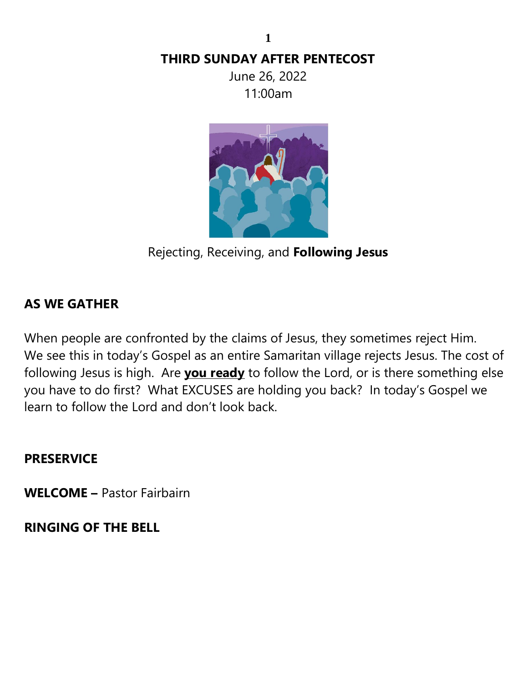**THIRD SUNDAY AFTER PENTECOST** 

June 26, 2022 11:00am



Rejecting, Receiving, and **Following Jesus**

# **AS WE GATHER**

When people are confronted by the claims of Jesus, they sometimes reject Him. We see this in today's Gospel as an entire Samaritan village rejects Jesus. The cost of following Jesus is high. Are **you ready** to follow the Lord, or is there something else you have to do first? What EXCUSES are holding you back? In today's Gospel we learn to follow the Lord and don't look back.

## **PRESERVICE**

**WELCOME –** Pastor Fairbairn

**RINGING OF THE BELL**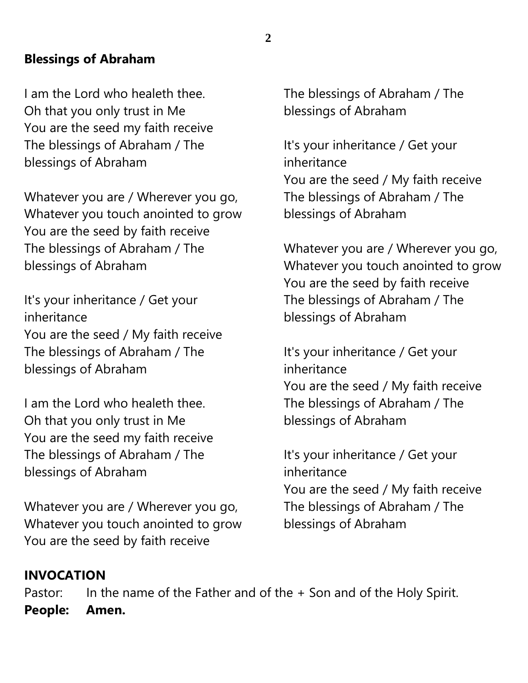# **Blessings of Abraham**

I am the Lord who healeth thee. Oh that you only trust in Me You are the seed my faith receive The blessings of Abraham / The blessings of Abraham

Whatever you are / Wherever you go, Whatever you touch anointed to grow You are the seed by faith receive The blessings of Abraham / The blessings of Abraham

It's your inheritance / Get your inheritance You are the seed / My faith receive The blessings of Abraham / The blessings of Abraham

I am the Lord who healeth thee. Oh that you only trust in Me You are the seed my faith receive The blessings of Abraham / The blessings of Abraham

Whatever you are / Wherever you go, Whatever you touch anointed to grow You are the seed by faith receive

The blessings of Abraham / The blessings of Abraham

It's your inheritance / Get your inheritance You are the seed / My faith receive The blessings of Abraham / The blessings of Abraham

Whatever you are / Wherever you go, Whatever you touch anointed to grow You are the seed by faith receive The blessings of Abraham / The blessings of Abraham

It's your inheritance / Get your inheritance You are the seed / My faith receive The blessings of Abraham / The blessings of Abraham

It's your inheritance / Get your inheritance You are the seed / My faith receive The blessings of Abraham / The blessings of Abraham

## **INVOCATION**

Pastor: In the name of the Father and of the + Son and of the Holy Spirit. **People: Amen.**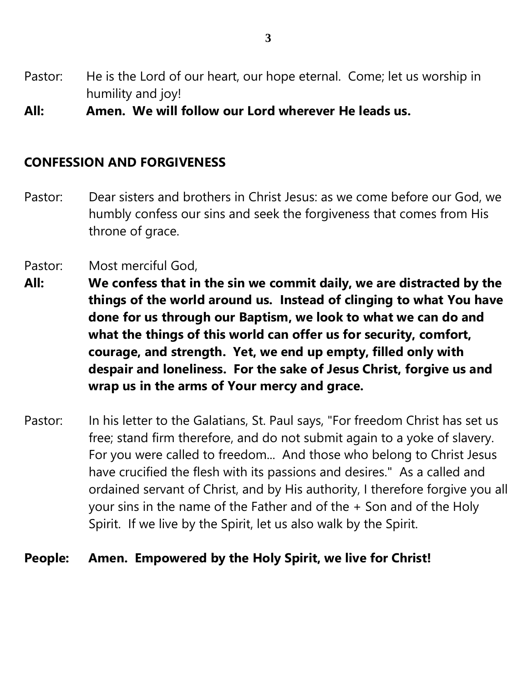- Pastor: He is the Lord of our heart, our hope eternal. Come; let us worship in humility and joy!
- **All: Amen. We will follow our Lord wherever He leads us.**

# **CONFESSION AND FORGIVENESS**

- Pastor: Dear sisters and brothers in Christ Jesus: as we come before our God, we humbly confess our sins and seek the forgiveness that comes from His throne of grace.
- Pastor: Most merciful God,
- **All: We confess that in the sin we commit daily, we are distracted by the things of the world around us. Instead of clinging to what You have done for us through our Baptism, we look to what we can do and what the things of this world can offer us for security, comfort, courage, and strength. Yet, we end up empty, filled only with despair and loneliness. For the sake of Jesus Christ, forgive us and wrap us in the arms of Your mercy and grace.**
- Pastor: In his letter to the Galatians, St. Paul says, "For freedom Christ has set us free; stand firm therefore, and do not submit again to a yoke of slavery. For you were called to freedom... And those who belong to Christ Jesus have crucified the flesh with its passions and desires." As a called and ordained servant of Christ, and by His authority, I therefore forgive you all your sins in the name of the Father and of the + Son and of the Holy Spirit. If we live by the Spirit, let us also walk by the Spirit.

## **People: Amen. Empowered by the Holy Spirit, we live for Christ!**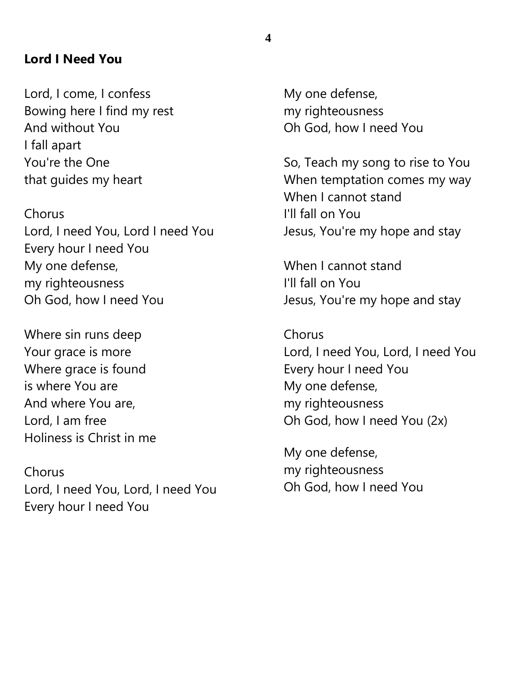### **Lord I Need You**

Lord, I come, I confess Bowing here I find my rest And without You I fall apart You're the One that guides my heart

**Chorus** Lord, I need You, Lord I need You Every hour I need You My one defense, my righteousness Oh God, how I need You

Where sin runs deep Your grace is more Where grace is found is where You are And where You are, Lord, I am free Holiness is Christ in me

**Chorus** Lord, I need You, Lord, I need You Every hour I need You

My one defense, my righteousness Oh God, how I need You

So, Teach my song to rise to You When temptation comes my way When I cannot stand I'll fall on You Jesus, You're my hope and stay

When I cannot stand I'll fall on You Jesus, You're my hope and stay

**Chorus** Lord, I need You, Lord, I need You Every hour I need You My one defense, my righteousness Oh God, how I need You (2x)

My one defense, my righteousness Oh God, how I need You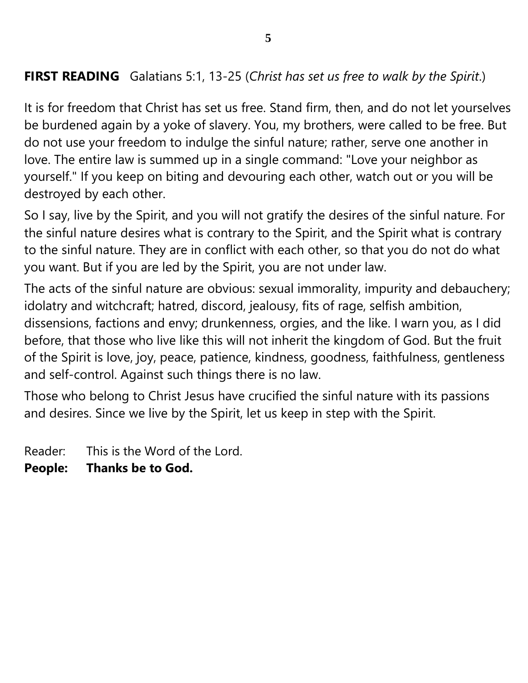# **FIRST READING** Galatians 5:1, 13-25 (*Christ has set us free to walk by the Spirit*.)

It is for freedom that Christ has set us free. Stand firm, then, and do not let yourselves be burdened again by a yoke of slavery. You, my brothers, were called to be free. But do not use your freedom to indulge the sinful nature; rather, serve one another in love. The entire law is summed up in a single command: "Love your neighbor as yourself." If you keep on biting and devouring each other, watch out or you will be destroyed by each other.

So I say, live by the Spirit, and you will not gratify the desires of the sinful nature. For the sinful nature desires what is contrary to the Spirit, and the Spirit what is contrary to the sinful nature. They are in conflict with each other, so that you do not do what you want. But if you are led by the Spirit, you are not under law.

The acts of the sinful nature are obvious: sexual immorality, impurity and debauchery; idolatry and witchcraft; hatred, discord, jealousy, fits of rage, selfish ambition, dissensions, factions and envy; drunkenness, orgies, and the like. I warn you, as I did before, that those who live like this will not inherit the kingdom of God. But the fruit of the Spirit is love, joy, peace, patience, kindness, goodness, faithfulness, gentleness and self-control. Against such things there is no law.

Those who belong to Christ Jesus have crucified the sinful nature with its passions and desires. Since we live by the Spirit, let us keep in step with the Spirit.

Reader: This is the Word of the Lord.

**People: Thanks be to God.**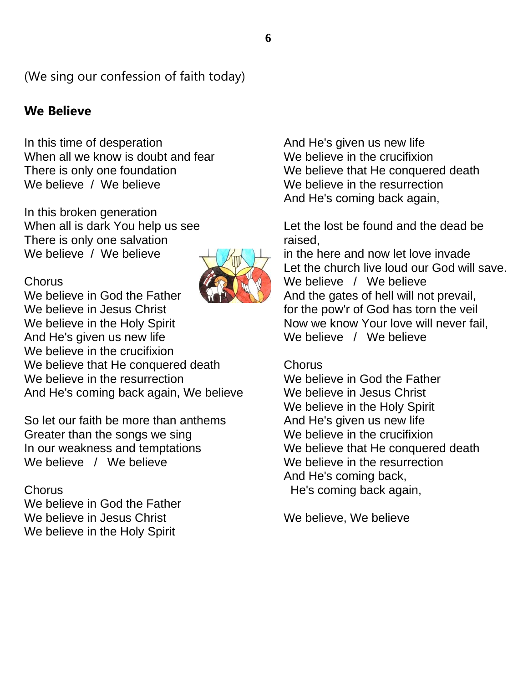# (We sing our confession of faith today)

# **We Believe**

In this time of desperation When all we know is doubt and fear There is only one foundation We believe / We believe

In this broken generation When all is dark You help us see There is only one salvation We believe / We believe

## **Chorus**

We believe in God the Father We believe in Jesus Christ We believe in the Holy Spirit And He's given us new life We believe in the crucifixion We believe that He conquered death We believe in the resurrection And He's coming back again, We believe

So let our faith be more than anthems Greater than the songs we sing In our weakness and temptations We believe / We believe

## **Chorus**

We believe in God the Father We believe in Jesus Christ We believe in the Holy Spirit

And He's given us new life We believe in the crucifixion We believe that He conquered death We believe in the resurrection And He's coming back again,

Let the lost be found and the dead be raised,

in the here and now let love invade Let the church live loud our God will save. We believe / We believe And the gates of hell will not prevail, for the pow'r of God has torn the veil Now we know Your love will never fail, We believe / We believe

#### **Chorus**

We believe in God the Father We believe in Jesus Christ We believe in the Holy Spirit And He's given us new life We believe in the crucifixion We believe that He conquered death We believe in the resurrection And He's coming back, He's coming back again,

We believe, We believe

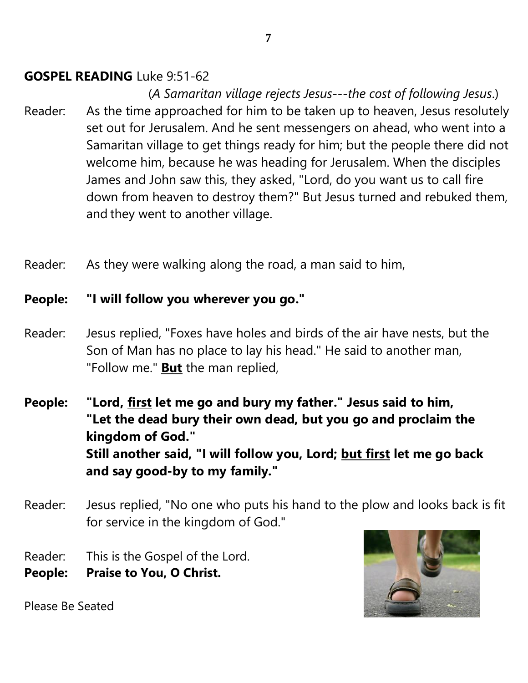# **GOSPEL READING** Luke 9:51-62

- (*A Samaritan village rejects Jesus---the cost of following Jesus*.) Reader: As the time approached for him to be taken up to heaven, Jesus resolutely set out for Jerusalem. And he sent messengers on ahead, who went into a Samaritan village to get things ready for him; but the people there did not welcome him, because he was heading for Jerusalem. When the disciples James and John saw this, they asked, "Lord, do you want us to call fire down from heaven to destroy them?" But Jesus turned and rebuked them, and they went to another village.
- Reader: As they were walking along the road, a man said to him,

### **People: "I will follow you wherever you go."**

- Reader: Jesus replied, "Foxes have holes and birds of the air have nests, but the Son of Man has no place to lay his head." He said to another man, "Follow me." **But** the man replied,
- **People: "Lord, first let me go and bury my father." Jesus said to him, "Let the dead bury their own dead, but you go and proclaim the kingdom of God." Still another said, "I will follow you, Lord; but first let me go back and say good-by to my family."**
- Reader: Jesus replied, "No one who puts his hand to the plow and looks back is fit for service in the kingdom of God."
- Reader: This is the Gospel of the Lord.
- **People: Praise to You, O Christ.**



Please Be Seated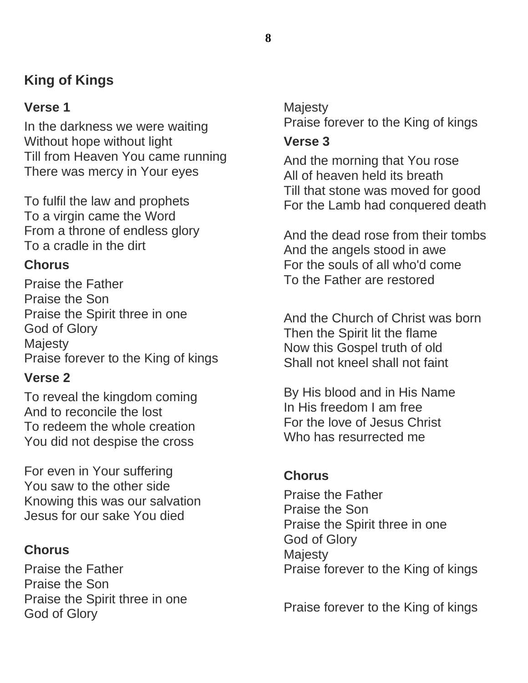# **King of Kings**

# **Verse 1**

In the darkness we were waiting Without hope without light Till from Heaven You came running There was mercy in Your eyes

To fulfil the law and prophets To a virgin came the Word From a throne of endless glory To a cradle in the dirt

# **Chorus**

Praise the Father Praise the Son Praise the Spirit three in one God of Glory **Majesty** Praise forever to the King of kings

# **Verse 2**

To reveal the kingdom coming And to reconcile the lost To redeem the whole creation You did not despise the cross

For even in Your suffering You saw to the other side Knowing this was our salvation Jesus for our sake You died

# **Chorus**

Praise the Father Praise the Son Praise the Spirit three in one God of Glory

# Majesty

Praise forever to the King of kings

# **Verse 3**

And the morning that You rose All of heaven held its breath Till that stone was moved for good For the Lamb had conquered death

And the dead rose from their tombs And the angels stood in awe For the souls of all who'd come To the Father are restored

And the Church of Christ was born Then the Spirit lit the flame Now this Gospel truth of old Shall not kneel shall not faint

By His blood and in His Name In His freedom I am free For the love of Jesus Christ Who has resurrected me

# **Chorus**

Praise the Father Praise the Son Praise the Spirit three in one God of Glory **Majesty** Praise forever to the King of kings

Praise forever to the King of kings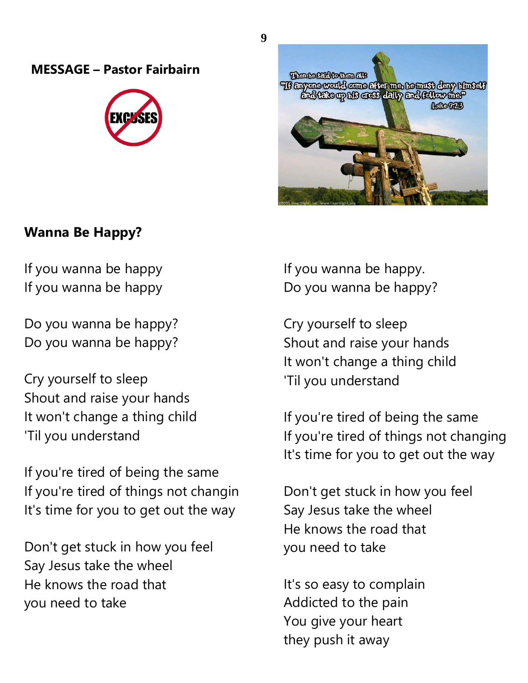**MESSAGE – Pastor Fairbairn**





# **Wanna Be Happy?**

If you wanna be happy If you wanna be happy

Do you wanna be happy? Do you wanna be happy?

Cry yourself to sleep Shout and raise your hands It won't change a thing child 'Til you understand

If you're tired of being the same If you're tired of things not changin It's time for you to get out the way

Don't get stuck in how you feel Say Jesus take the wheel He knows the road that you need to take

If you wanna be happy. Do you wanna be happy?

Cry yourself to sleep Shout and raise your hands It won't change a thing child 'Til you understand

If you're tired of being the same If you're tired of things not changing It's time for you to get out the way

Don't get stuck in how you feel Say Jesus take the wheel He knows the road that you need to take

It's so easy to complain Addicted to the pain You give your heart they push it away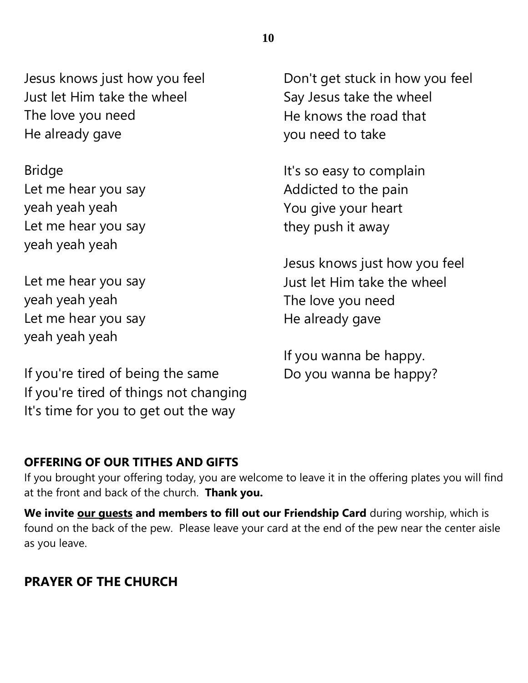Jesus knows just how you feel Just let Him take the wheel The love you need He already gave

Bridge Let me hear you say yeah yeah yeah Let me hear you say yeah yeah yeah

Let me hear you say yeah yeah yeah Let me hear you say yeah yeah yeah

If you're tired of being the same If you're tired of things not changing It's time for you to get out the way

Don't get stuck in how you feel Say Jesus take the wheel He knows the road that you need to take

It's so easy to complain Addicted to the pain You give your heart they push it away

Jesus knows just how you feel Just let Him take the wheel The love you need He already gave

If you wanna be happy. Do you wanna be happy?

### **OFFERING OF OUR TITHES AND GIFTS**

If you brought your offering today, you are welcome to leave it in the offering plates you will find at the front and back of the church. **Thank you.**

**We invite our guests and members to fill out our Friendship Card** during worship, which is found on the back of the pew. Please leave your card at the end of the pew near the center aisle as you leave.

## **PRAYER OF THE CHURCH**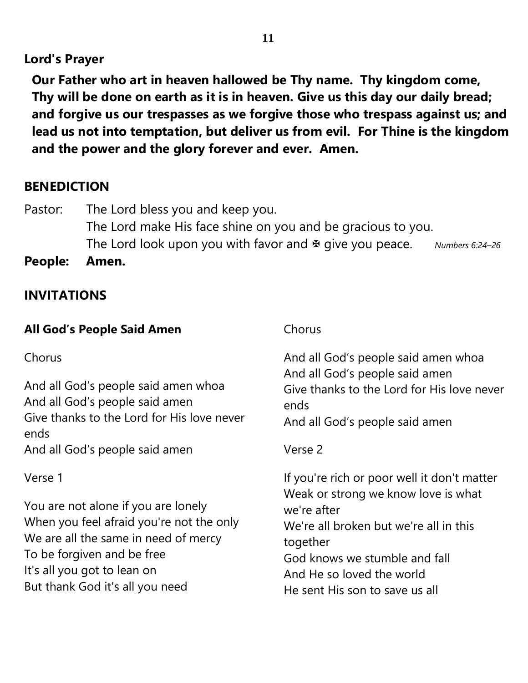# **Lord's Prayer**

**Our Father who art in heaven hallowed be Thy name. Thy kingdom come, Thy will be done on earth as it is in heaven. Give us this day our daily bread; and forgive us our trespasses as we forgive those who trespass against us; and lead us not into temptation, but deliver us from evil. For Thine is the kingdom and the power and the glory forever and ever. Amen.**

# **BENEDICTION**

Pastor: The Lord bless you and keep you. The Lord make His face shine on you and be gracious to you. The Lord look upon you with favor and **B** give you peace. *Numbers 6:24-26* 

**People: Amen.**

# **INVITATIONS**

## **All God's People Said Amen**

Chorus

And all God's people said amen whoa And all God's people said amen Give thanks to the Lord for His love never ends

And all God's people said amen

## Verse 1

You are not alone if you are lonely When you feel afraid you're not the only We are all the same in need of mercy To be forgiven and be free It's all you got to lean on But thank God it's all you need

## **Chorus**

And all God's people said amen whoa And all God's people said amen Give thanks to the Lord for His love never ends And all God's people said amen

## Verse 2

If you're rich or poor well it don't matter Weak or strong we know love is what we're after We're all broken but we're all in this together God knows we stumble and fall And He so loved the world He sent His son to save us all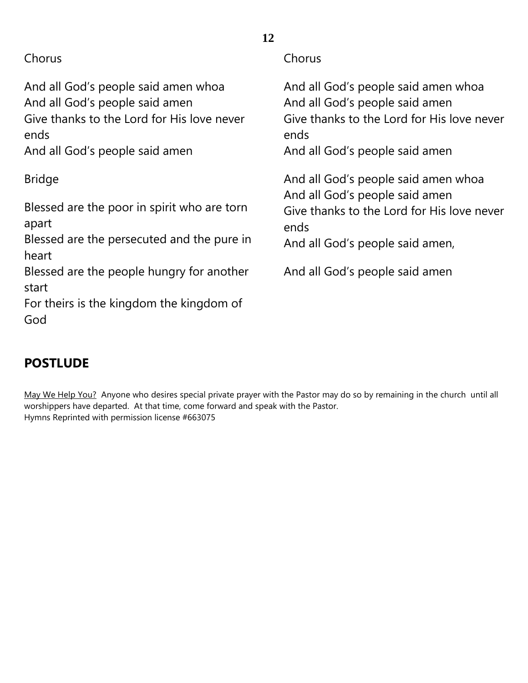# **Chorus**

And all God's people said amen whoa And all God's people said amen Give thanks to the Lord for His love never ends

And all God's people said amen

Bridge

Blessed are the poor in spirit who are torn apart

Blessed are the persecuted and the pure in heart

Blessed are the people hungry for another start

For theirs is the kingdom the kingdom of God

## **Chorus**

And all God's people said amen whoa And all God's people said amen Give thanks to the Lord for His love never ends

And all God's people said amen

And all God's people said amen whoa And all God's people said amen Give thanks to the Lord for His love never ends

And all God's people said amen,

And all God's people said amen

# **POSTLUDE**

May We Help You? Anyone who desires special private prayer with the Pastor may do so by remaining in the church until all worshippers have departed. At that time, come forward and speak with the Pastor. Hymns Reprinted with permission license #663075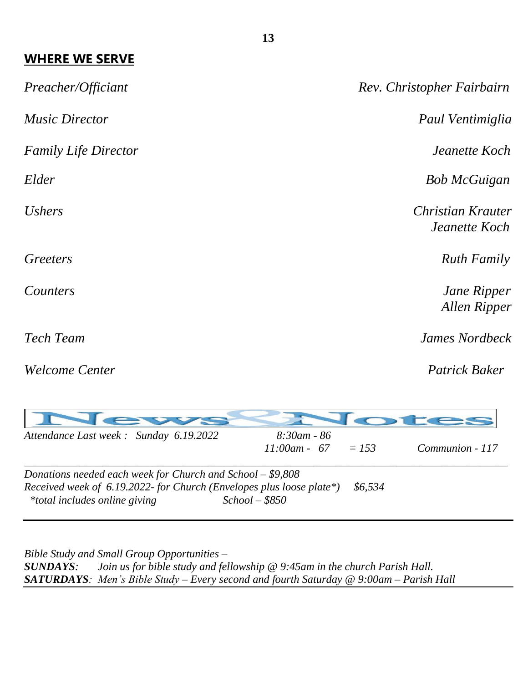## **WHERE WE SERVE**

| Preacher/Officiant          | Rev. Christopher Fairbairn                |
|-----------------------------|-------------------------------------------|
| <b>Music Director</b>       | Paul Ventimiglia                          |
| <b>Family Life Director</b> | Jeanette Koch                             |
| Elder                       | <b>Bob McGuigan</b>                       |
| <i>Ushers</i>               | <b>Christian Krauter</b><br>Jeanette Koch |
| Greeters                    | <b>Ruth Family</b>                        |
| Counters                    | Jane Ripper<br><b>Allen Ripper</b>        |
| <b>Tech Team</b>            | <b>James Nordbeck</b>                     |
| <b>Welcome Center</b>       | <b>Patrick Baker</b>                      |



 *\*total includes online giving School – \$850*

*Bible Study and Small Group Opportunities – SUNDAYS: Join us for bible study and fellowship @ 9:45am in the church Parish Hall. SATURDAYS: Men's Bible Study – Every second and fourth Saturday @ 9:00am – Parish Hall*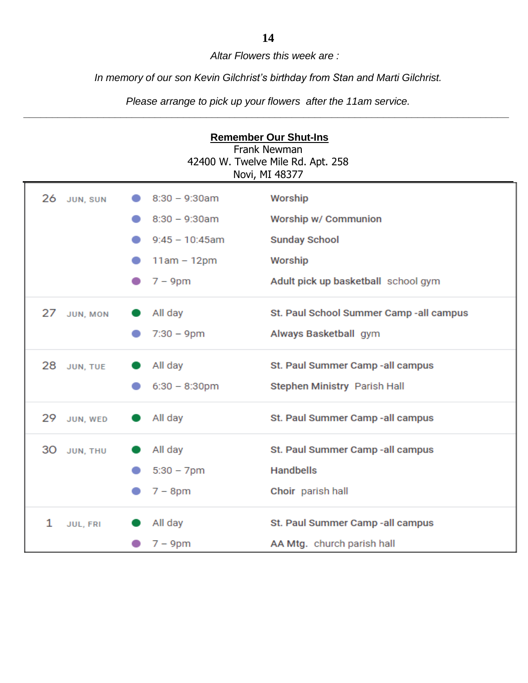*Altar Flowers this week are :*

*In memory of our son Kevin Gilchrist's birthday from Stan and Marti Gilchrist.*

*Please arrange to pick up your flowers after the 11am service. \_\_\_\_\_\_\_\_\_\_\_\_\_\_\_\_\_\_\_\_\_\_\_\_\_\_\_\_\_\_\_\_\_\_\_\_\_\_\_\_\_\_\_\_\_\_\_\_\_\_\_\_\_\_\_\_\_\_\_\_\_\_\_\_\_\_\_\_\_\_\_\_\_\_\_\_\_\_\_\_\_\_\_\_\_*

| <b>Remember Our Shut-Ins</b><br>Frank Newman<br>42400 W. Twelve Mile Rd. Apt. 258<br>Novi, MI 48377 |                                                                                          |                                                                                                           |
|-----------------------------------------------------------------------------------------------------|------------------------------------------------------------------------------------------|-----------------------------------------------------------------------------------------------------------|
| 26 JUN, SUN                                                                                         | $8:30 - 9:30$ am<br>$8:30 - 9:30$ am<br>$9:45 - 10:45$ am<br>$11am - 12pm$<br>$7 - 9$ pm | Worship<br>Worship w/ Communion<br><b>Sunday School</b><br>Worship<br>Adult pick up basketball school gym |
| 27<br>JUN, MON                                                                                      | All day<br>$7:30 - 9pm$                                                                  | St. Paul School Summer Camp - all campus<br>Always Basketball gym                                         |
| 28 JUN, TUE                                                                                         | All day<br>$6:30 - 8:30$ pm                                                              | St. Paul Summer Camp - all campus<br>Stephen Ministry Parish Hall                                         |
| 29<br>JUN, WED                                                                                      | All day                                                                                  | St. Paul Summer Camp - all campus                                                                         |
| 30<br>JUN, THU                                                                                      | All day<br>$5:30 - 7$ pm<br>$7 - 8pm$                                                    | St. Paul Summer Camp - all campus<br><b>Handbells</b><br>Choir parish hall                                |
| 1<br><b>JUL, FRI</b>                                                                                | All day<br>$7 - 9$ pm                                                                    | St. Paul Summer Camp - all campus<br>AA Mtg. church parish hall                                           |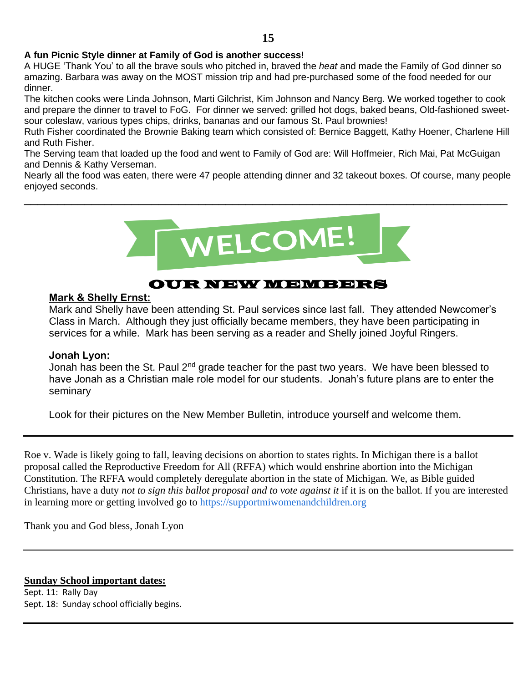#### **A fun Picnic Style dinner at Family of God is another success!**

A HUGE 'Thank You' to all the brave souls who pitched in, braved the *heat* and made the Family of God dinner so amazing. Barbara was away on the MOST mission trip and had pre-purchased some of the food needed for our dinner.

The kitchen cooks were Linda Johnson, Marti Gilchrist, Kim Johnson and Nancy Berg. We worked together to cook and prepare the dinner to travel to FoG. For dinner we served: grilled hot dogs, baked beans, Old-fashioned sweetsour coleslaw, various types chips, drinks, bananas and our famous St. Paul brownies!

Ruth Fisher coordinated the Brownie Baking team which consisted of: Bernice Baggett, Kathy Hoener, Charlene Hill and Ruth Fisher.

The Serving team that loaded up the food and went to Family of God are: Will Hoffmeier, Rich Mai, Pat McGuigan and Dennis & Kathy Verseman.

Nearly all the food was eaten, there were 47 people attending dinner and 32 takeout boxes. Of course, many people enjoyed seconds.

\_\_\_\_\_\_\_\_\_\_\_\_\_\_\_\_\_\_\_\_\_\_\_\_\_\_\_\_\_\_\_\_\_\_\_\_\_\_\_\_\_\_\_\_\_\_\_\_\_\_\_\_\_\_\_\_\_\_\_\_\_\_\_\_\_\_\_\_\_\_\_\_



#### OUR NEW MEMBERS

#### **Mark & Shelly Ernst:**

Mark and Shelly have been attending St. Paul services since last fall. They attended Newcomer's Class in March. Although they just officially became members, they have been participating in services for a while. Mark has been serving as a reader and Shelly joined Joyful Ringers.

#### **Jonah Lyon:**

Jonah has been the St. Paul  $2^{nd}$  grade teacher for the past two years. We have been blessed to have Jonah as a Christian male role model for our students. Jonah's future plans are to enter the seminary

Look for their pictures on the New Member Bulletin, introduce yourself and welcome them.

Roe v. Wade is likely going to fall, leaving decisions on abortion to states rights. In Michigan there is a ballot proposal called the Reproductive Freedom for All (RFFA) which would enshrine abortion into the Michigan Constitution. The RFFA would completely deregulate abortion in the state of Michigan. We, as Bible guided Christians, have a duty *not to sign this ballot proposal and to vote against it* if it is on the ballot. If you are interested in learning more or getting involved go to [https://supportmiwomenandchildren.org](https://supportmiwomenandchildren.org/)

Thank you and God bless, Jonah Lyon

#### **Sunday School important dates:**

Sept. 11: Rally Day Sept. 18: Sunday school officially begins.